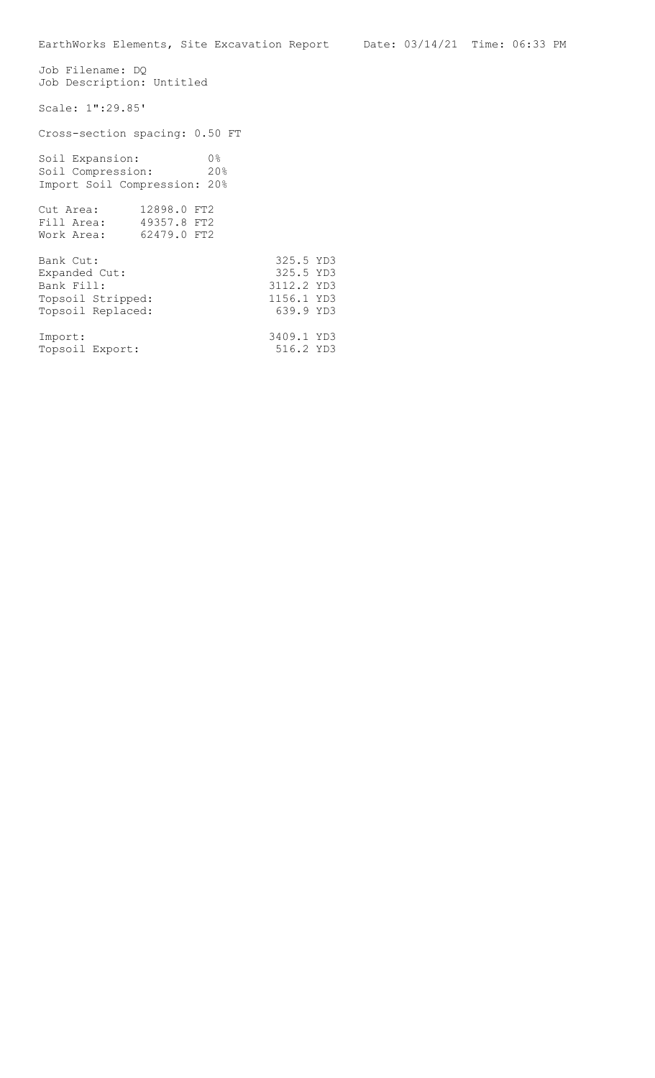Job Filename: DQ Job Description: Untitled Scale: 1":29.85' Cross-section spacing: 0.50 FT Soil Expansion: 0% Soil Compression: 20% Import Soil Compression: 20% Cut Area: 12898.0 FT2 Fill Area: 49357.8 FT2 Work Area: 62479.0 FT2 Bank Cut: 325.5 YD3<br>Expanded Cut: 325.5 YD3 Expanded Cut: Pank Fill: 3112.2 YD3<br>Topsoil Stripped: 31156.1 YD3 Topsoil Stripped: 1156.1 YD3<br>
Topsoil Replaced: 639.9 YD3 Topsoil Replaced: Import: 3409.1 YD3<br>Topsoil Export: 516.2 YD3 Topsoil Export: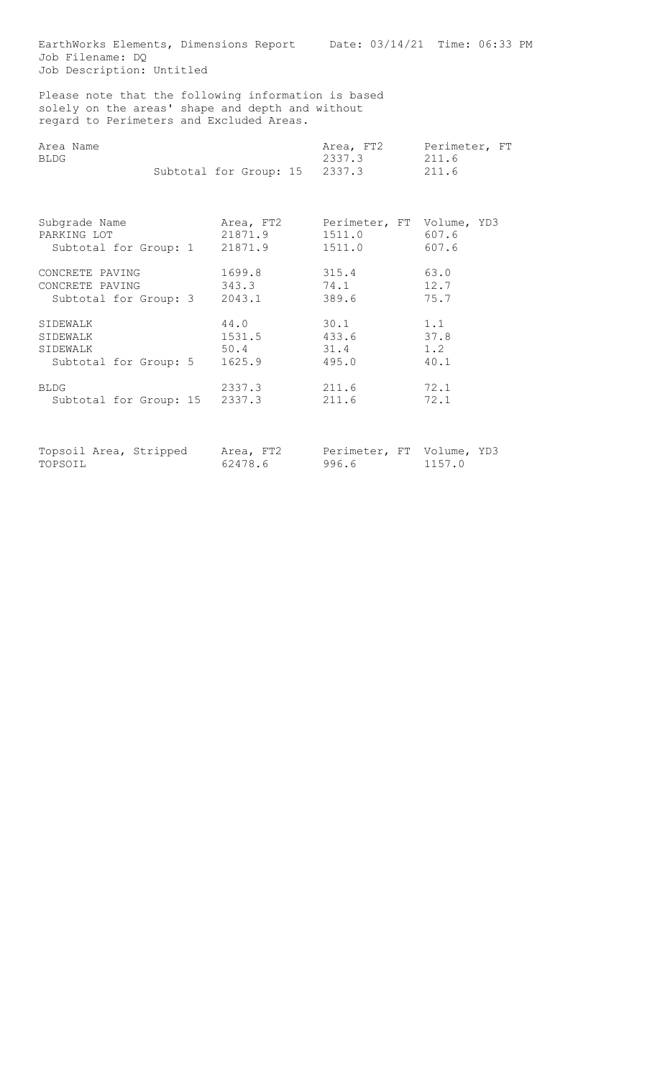EarthWorks Elements, Dimensions Report Date: 03/14/21 Time: 06:33 PM Job Filename: DQ Job Description: Untitled

Please note that the following information is based solely on the areas' shape and depth and without regard to Perimeters and Excluded Areas.

| Area Name<br>BLDG     |  |                        | Area, FT2<br>2337.3       | Perimeter, FT<br>211.6 |
|-----------------------|--|------------------------|---------------------------|------------------------|
|                       |  | Subtotal for Group: 15 | 2337.3                    | 211.6                  |
| Subgrade Name         |  | Area, FT2              | Perimeter, FT Volume, YD3 |                        |
| PARKING LOT           |  | 21871.9                | 1511.0                    | 607.6                  |
| Subtotal for Group: 1 |  | 21871.9                | 1511.0                    | 607.6                  |
| CONCRETE PAVING       |  | 1699.8                 | 315.4                     | 63.0                   |
| CONCRETE PAVING       |  | 343.3                  | 74.1                      | 12.7                   |
| Subtotal for Group: 3 |  | 2043.1                 | 389.6                     | 75.7                   |

SIDEWALK 44.0 30.1 1.1 SIDEWALK 1531.5 433.6 37.8<br>SIDEWALK 50.4 31.4 1.2 SIDEWALK 50.4 31.4 1.2 Subtotal for Group: 5 1625.9 495.0 40.1

BLDG 2337.3 211.6 72.1 Subtotal for Group: 15 2337.3 211.6 72.1

Topsoil Area, Stripped Area, FT2 Perimeter, FT Volume, YD3 TOPSOIL 62478.6 996.6 1157.0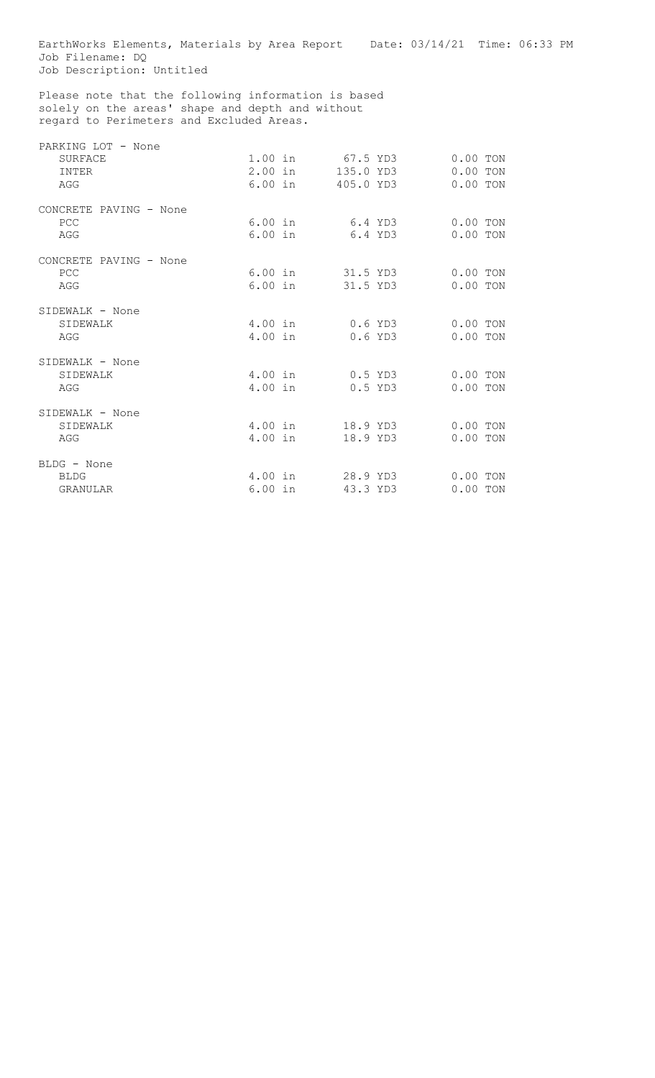EarthWorks Elements, Materials by Area Report Date: 03/14/21 Time: 06:33 PM Job Filename: DQ Job Description: Untitled Please note that the following information is based solely on the areas' shape and depth and without regard to Perimeters and Excluded Areas. PARKING LOT - None<br>SURFACE 1.00 in 67.5 YD3 0.00 TON<br>2.00 in 135.0 YD3 0.00 TON INTER 1.00 III 07.5 IDS 0.00 ION<br>
INTER 2.00 in 135.0 YD3 0.00 TON<br>
AGG 6.00 in 405.0 YD3 0.00 TON 405.0 YD3 CONCRETE PAVING - None PCC 6.00 in 6.4 YD3 0.00 TON AGG 6.00 in 6.4 YD3 0.00 TON

CONCRETE PAVING - None PCC 6.00 in 31.5 YD3 0.00 TON AGG 6.00 in 31.5 YD3 0.00 TON SIDEWALK - None<br>SIDEWALK SIDEWALK 4.00 in 0.6 YD3 0.00 TON AGG 4.00 in 0.6 YD3 0.00 TON SIDEWALK - None SIDEWALK 4.00 in 0.5 YD3 0.00 TON AGG 4.00 in 0.5 YD3 0.00 TON SIDEWALK - None SIDEWALK 4.00 in 18.9 YD3 0.00 TON AGG 6 1.00 in 18.9 YD3 0.00 TON BLDG - None BLDG 4.00 in 28.9 YD3 0.00 TON GRANULAR 6.00 in 43.3 YD3 0.00 TON